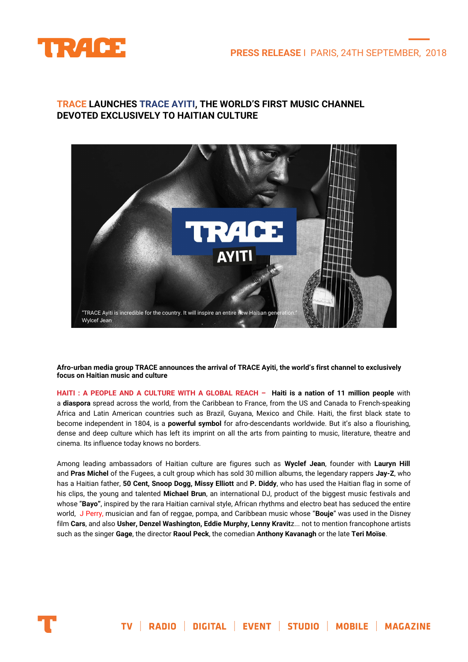

## **TRACE LAUNCHES TRACE AYITI, THE WORLD'S FIRST MUSIC CHANNEL DEVOTED EXCLUSIVELY TO HAITIAN CULTURE**



**Afro-urban media group TRACE announces the arrival of TRACE Ayiti, the world's first channel to exclusively focus on Haitian music and culture**

HAITI : A PEOPLE AND A CULTURE WITH A GLOBAL REACH - Haiti is a nation of 11 million people with a **diaspora** spread across the world, from the Caribbean to France, from the US and Canada to French-speaking Africa and Latin American countries such as Brazil, Guyana, Mexico and Chile. Haiti, the first black state to become independent in 1804, is a **powerful symbol** for afro-descendants worldwide. But it's also a flourishing, dense and deep culture which has left its imprint on all the arts from painting to music, literature, theatre and cinema. Its influence today knows no borders.

Among leading ambassadors of Haitian culture are figures such as **Wyclef Jean**, founder with **Lauryn Hill** and **Pras Michel** of the Fugees, a cult group which has sold 30 million albums, the legendary rappers **Jay-Z**, who has a Haitian father, **50 Cent, Snoop Dogg, Missy Elliott** and **P. Diddy**, who has used the Haitian flag in some of his clips, the young and talented **Michael Brun**, an international DJ, product of the biggest music festivals and whose "**Bayo"**, inspired by the rara Haitian carnival style, African rhythms and electro beat has seduced the entire world, J Perry, musician and fan of reggae, pompa, and Caribbean music whose "**Bouje**" was used in the Disney film **Cars**, and also **Usher, Denzel Washington, Eddie Murphy, Lenny Kravit**z... not to mention francophone artists such as the singer **Gage**, the director **Raoul Peck**, the comedian **Anthony Kavanagh** or the late **Teri Moïse**.